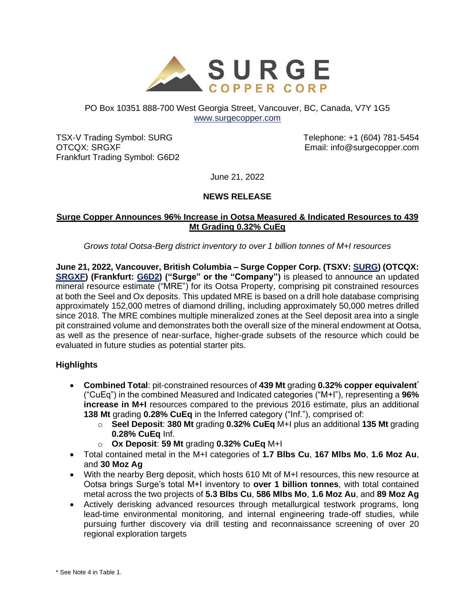

# PO Box 10351 888-700 West Georgia Street, Vancouver, BC, Canada, V7Y 1G5 [www.surgecopper.com](http://www.surgecopper.com/)

TSX-V Trading Symbol: SURG OTCQX: SRGXF Frankfurt Trading Symbol: G6D2 Telephone: +1 (604) 781-5454 Email: info@surgecopper.com

June 21, 2022

# **NEWS RELEASE**

## **Surge Copper Announces 96% Increase in Ootsa Measured & Indicated Resources to 439 Mt Grading 0.32% CuEq**

*Grows total Ootsa-Berg district inventory to over 1 billion tonnes of M+I resources*

**June 21, 2022, Vancouver, British Columbia – Surge Copper Corp. (TSXV: [SURG\)](https://money.tmx.com/en/quote/SURG) (OTCQX: [SRGXF\)](https://www.otcmarkets.com/stock/SRGXF/overview) (Frankfurt: [G6D2\)](https://www.boerse-frankfurt.de/equity/surge-copper-corp) ("Surge" or the "Company")** is pleased to announce an updated mineral resource estimate ("MRE") for its Ootsa Property, comprising pit constrained resources at both the Seel and Ox deposits. This updated MRE is based on a drill hole database comprising approximately 152,000 metres of diamond drilling, including approximately 50,000 metres drilled since 2018. The MRE combines multiple mineralized zones at the Seel deposit area into a single pit constrained volume and demonstrates both the overall size of the mineral endowment at Ootsa, as well as the presence of near-surface, higher-grade subsets of the resource which could be evaluated in future studies as potential starter pits.

# **Highlights**

- **Combined Total**: pit-constrained resources of **439 Mt** grading **0.32% copper equivalent**\* ("CuEq") in the combined Measured and Indicated categories ("M+I"), representing a **96% increase in M+I** resources compared to the previous 2016 estimate, plus an additional **138 Mt** grading **0.28% CuEq** in the Inferred category ("Inf."), comprised of:
	- o **Seel Deposit**: **380 Mt** grading **0.32% CuEq** M+I plus an additional **135 Mt** grading **0.28% CuEq** Inf.
	- o **Ox Deposit**: **59 Mt** grading **0.32% CuEq** M+I
- Total contained metal in the M+I categories of **1.7 Blbs Cu**, **167 Mlbs Mo**, **1.6 Moz Au**, and **30 Moz Ag**
- With the nearby Berg deposit, which hosts 610 Mt of M+I resources, this new resource at Ootsa brings Surge's total M+I inventory to **over 1 billion tonnes**, with total contained metal across the two projects of **5.3 Blbs Cu**, **586 Mlbs Mo**, **1.6 Moz Au**, and **89 Moz Ag**
- Actively derisking advanced resources through metallurgical testwork programs, long lead-time environmental monitoring, and internal engineering trade-off studies, while pursuing further discovery via drill testing and reconnaissance screening of over 20 regional exploration targets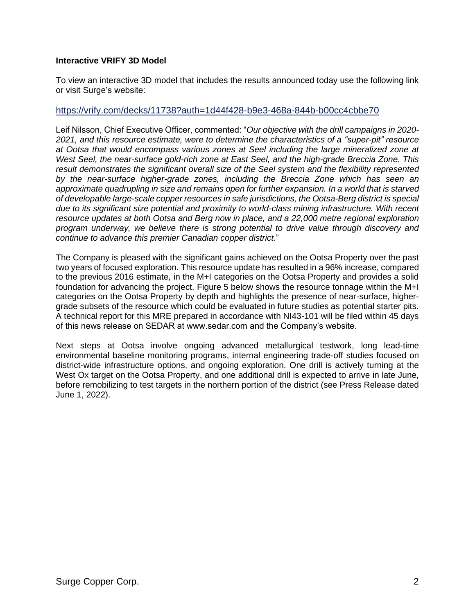### **Interactive VRIFY 3D Model**

To view an interactive 3D model that includes the results announced today use the following link or visit Surge's website:

#### <https://vrify.com/decks/11738?auth=1d44f428-b9e3-468a-844b-b00cc4cbbe70>

Leif Nilsson, Chief Executive Officer, commented: "*Our objective with the drill campaigns in 2020- 2021, and this resource estimate, were to determine the characteristics of a "super-pit" resource at Ootsa that would encompass various zones at Seel including the large mineralized zone at West Seel, the near-surface gold-rich zone at East Seel, and the high-grade Breccia Zone. This result demonstrates the significant overall size of the Seel system and the flexibility represented by the near-surface higher-grade zones, including the Breccia Zone which has seen an approximate quadrupling in size and remains open for further expansion. In a world that is starved of developable large-scale copper resources in safe jurisdictions, the Ootsa-Berg district is special due to its significant size potential and proximity to world-class mining infrastructure. With recent resource updates at both Ootsa and Berg now in place, and a 22,000 metre regional exploration program underway, we believe there is strong potential to drive value through discovery and continue to advance this premier Canadian copper district.*"

The Company is pleased with the significant gains achieved on the Ootsa Property over the past two years of focused exploration. This resource update has resulted in a 96% increase, compared to the previous 2016 estimate, in the M+I categories on the Ootsa Property and provides a solid foundation for advancing the project. Figure 5 below shows the resource tonnage within the M+I categories on the Ootsa Property by depth and highlights the presence of near-surface, highergrade subsets of the resource which could be evaluated in future studies as potential starter pits. A technical report for this MRE prepared in accordance with NI43-101 will be filed within 45 days of this news release on SEDAR at www.sedar.com and the Company's website.

Next steps at Ootsa involve ongoing advanced metallurgical testwork, long lead-time environmental baseline monitoring programs, internal engineering trade-off studies focused on district-wide infrastructure options, and ongoing exploration. One drill is actively turning at the West Ox target on the Ootsa Property, and one additional drill is expected to arrive in late June, before remobilizing to test targets in the northern portion of the district (see Press Release dated June 1, 2022).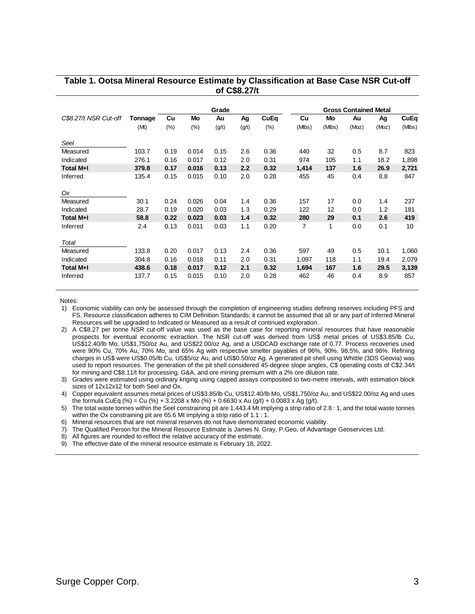|                       |         | Grade |       |       |       |             | <b>Gross Contained Metal</b> |        |       |       |        |  |
|-----------------------|---------|-------|-------|-------|-------|-------------|------------------------------|--------|-------|-------|--------|--|
| C\$8.27/t NSR Cut-off | Tonnage | Cu    | Mo    | Au    | Ag    | <b>CuEq</b> | Cu                           | Mo     | Au    | Ag    | CuEq   |  |
|                       | (Mt)    | (%)   | (%)   | (g/t) | (g/t) | (%)         | (Mlbs)                       | (MIbs) | (Moz) | (Moz) | (Mlbs) |  |
| Seel                  |         |       |       |       |       |             |                              |        |       |       |        |  |
| Measured              | 103.7   | 0.19  | 0.014 | 0.15  | 2.6   | 0.36        | 440                          | 32     | 0.5   | 8.7   | 823    |  |
| Indicated             | 276.1   | 0.16  | 0.017 | 0.12  | 2.0   | 0.31        | 974                          | 105    | 1.1   | 18.2  | 1,898  |  |
| <b>Total M+I</b>      | 379.8   | 0.17  | 0.016 | 0.13  | 2.2   | 0.32        | 1,414                        | 137    | 1.6   | 26.9  | 2,721  |  |
| Inferred              | 135.4   | 0.15  | 0.015 | 0.10  | 2.0   | 0.28        | 455                          | 45     | 0.4   | 8.8   | 847    |  |
|                       |         |       |       |       |       |             |                              |        |       |       |        |  |
| Ox                    |         |       |       |       |       |             |                              |        |       |       |        |  |
| Measured              | 30.1    | 0.24  | 0.026 | 0.04  | 1.4   | 0.36        | 157                          | 17     | 0.0   | 1.4   | 237    |  |
| Indicated             | 28.7    | 0.19  | 0.020 | 0.03  | 1.3   | 0.29        | 122                          | 12     | 0.0   | 1.2   | 181    |  |
| Total M+I             | 58.8    | 0.22  | 0.023 | 0.03  | 1.4   | 0.32        | 280                          | 29     | 0.1   | 2.6   | 419    |  |
| Inferred              | 2.4     | 0.13  | 0.011 | 0.03  | 1.1   | 0.20        | $\overline{7}$               | 1      | 0.0   | 0.1   | 10     |  |
|                       |         |       |       |       |       |             |                              |        |       |       |        |  |
| Total                 |         |       |       |       |       |             |                              |        |       |       |        |  |
| Measured              | 133.8   | 0.20  | 0.017 | 0.13  | 2.4   | 0.36        | 597                          | 49     | 0.5   | 10.1  | 1,060  |  |
| Indicated             | 304.8   | 0.16  | 0.018 | 0.11  | 2.0   | 0.31        | 1,097                        | 118    | 1.1   | 19.4  | 2,079  |  |
| <b>Total M+I</b>      | 438.6   | 0.18  | 0.017 | 0.12  | 2.1   | 0.32        | 1,694                        | 167    | 1.6   | 29.5  | 3,139  |  |
| Inferred              | 137.7   | 0.15  | 0.015 | 0.10  | 2.0   | 0.28        | 462                          | 46     | 0.4   | 8.9   | 857    |  |

#### **Table 1. Ootsa Mineral Resource Estimate by Classification at Base Case NSR Cut-off of C\$8.27/t**

Notes:

1) Economic viability can only be assessed through the completion of engineering studies defining reserves including PFS and FS. Resource classification adheres to CIM Definition Standards; it cannot be assumed that all or any part of Inferred Mineral Resources will be upgraded to Indicated or Measured as a result of continued exploration.

2) A C\$8.27 per tonne NSR cut-off value was used as the base case for reporting mineral resources that have reasonable prospects for eventual economic extraction. The NSR cut-off was derived from US\$ metal prices of US\$3.85/lb Cu, US\$12.40/lb Mo, US\$1,750/oz Au, and US\$22.00/oz Ag, and a USDCAD exchange rate of 0.77. Process recoveries used were 90% Cu, 70% Au, 70% Mo, and 65% Ag with respective smelter payables of 96%, 90%, 98.5%, and 96%. Refining charges in US\$ were US\$0.05/lb Cu, US\$5/oz Au, and US\$0.50/oz Ag. A generated pit shell using Whittle (3DS Geovia) was used to report resources. The generation of the pit shell considered 45-degree slope angles, C\$ operating costs of C\$2.34/t for mining and C\$8.11/t for processing, G&A, and ore mining premium with a 2% ore dilution rate.

3) Grades were estimated using ordinary kriging using capped assays composited to two-metre intervals, with estimation block sizes of 12x12x12 for both Seel and Ox.

4) Copper equivalent assumes metal prices of US\$3.85/lb Cu, US\$12.40/lb Mo, US\$1,750/oz Au, and US\$22.00/oz Ag and uses the formula CuEq (%) = Cu (%) + 3.2208 x Mo (%) + 0.6630 x Au (g/t) + 0.0083 x Ag (g/t).

5) The total waste tonnes within the Seel constraining pit are 1,443.4 Mt implying a strip ratio of 2.8 : 1, and the total waste tonnes within the Ox constraining pit are 65.6 Mt implying a strip ratio of 1.1 : 1.

6) Mineral resources that are not mineral reserves do not have demonstrated economic viability.

7) The Qualified Person for the Mineral Resource Estimate is James N. Gray, P.Geo, of Advantage Geoservices Ltd.

8) All figures are rounded to reflect the relative accuracy of the estimate.

9) The effective date of the mineral resource estimate is February 18, 2022.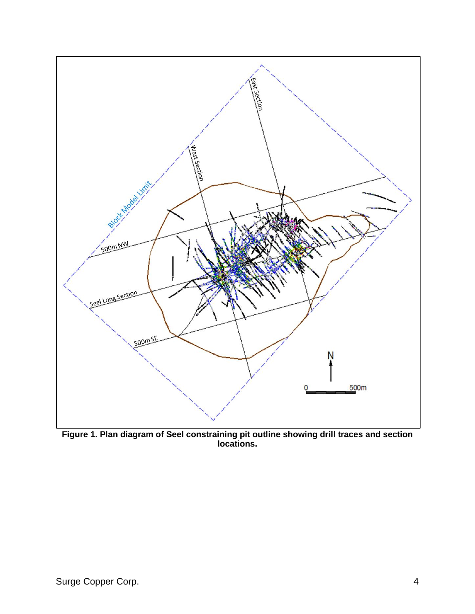

**Figure 1. Plan diagram of Seel constraining pit outline showing drill traces and section locations.**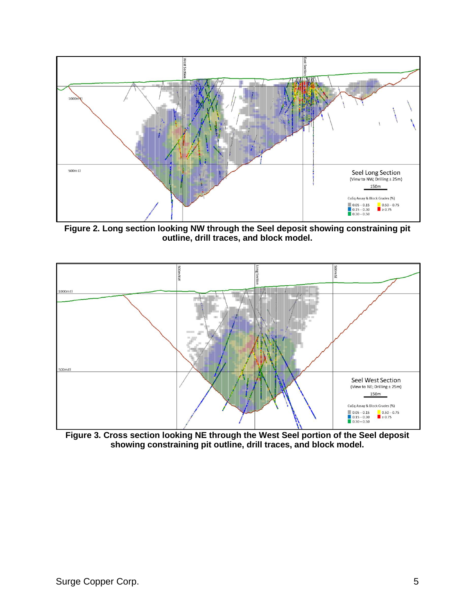

**Figure 2. Long section looking NW through the Seel deposit showing constraining pit outline, drill traces, and block model.**



**Figure 3. Cross section looking NE through the West Seel portion of the Seel deposit showing constraining pit outline, drill traces, and block model.**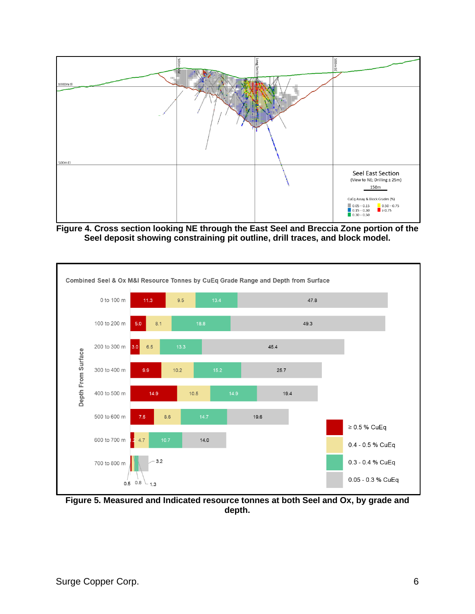

**Figure 4. Cross section looking NE through the East Seel and Breccia Zone portion of the Seel deposit showing constraining pit outline, drill traces, and block model.**



**Figure 5. Measured and Indicated resource tonnes at both Seel and Ox, by grade and depth.**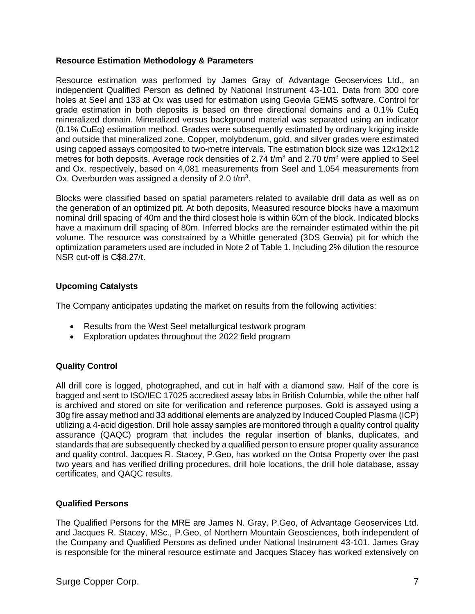## **Resource Estimation Methodology & Parameters**

Resource estimation was performed by James Gray of Advantage Geoservices Ltd., an independent Qualified Person as defined by National Instrument 43-101. Data from 300 core holes at Seel and 133 at Ox was used for estimation using Geovia GEMS software. Control for grade estimation in both deposits is based on three directional domains and a 0.1% CuEq mineralized domain. Mineralized versus background material was separated using an indicator (0.1% CuEq) estimation method. Grades were subsequently estimated by ordinary kriging inside and outside that mineralized zone. Copper, molybdenum, gold, and silver grades were estimated using capped assays composited to two-metre intervals. The estimation block size was 12x12x12 metres for both deposits. Average rock densities of 2.74 t/m<sup>3</sup> and 2.70 t/m<sup>3</sup> were applied to Seel and Ox, respectively, based on 4,081 measurements from Seel and 1,054 measurements from Ox. Overburden was assigned a density of 2.0  $t/m<sup>3</sup>$ .

Blocks were classified based on spatial parameters related to available drill data as well as on the generation of an optimized pit. At both deposits, Measured resource blocks have a maximum nominal drill spacing of 40m and the third closest hole is within 60m of the block. Indicated blocks have a maximum drill spacing of 80m. Inferred blocks are the remainder estimated within the pit volume. The resource was constrained by a Whittle generated (3DS Geovia) pit for which the optimization parameters used are included in Note 2 of Table 1. Including 2% dilution the resource NSR cut-off is C\$8.27/t.

# **Upcoming Catalysts**

The Company anticipates updating the market on results from the following activities:

- Results from the West Seel metallurgical testwork program
- Exploration updates throughout the 2022 field program

# **Quality Control**

All drill core is logged, photographed, and cut in half with a diamond saw. Half of the core is bagged and sent to ISO/IEC 17025 accredited assay labs in British Columbia, while the other half is archived and stored on site for verification and reference purposes. Gold is assayed using a 30g fire assay method and 33 additional elements are analyzed by Induced Coupled Plasma (ICP) utilizing a 4-acid digestion. Drill hole assay samples are monitored through a quality control quality assurance (QAQC) program that includes the regular insertion of blanks, duplicates, and standards that are subsequently checked by a qualified person to ensure proper quality assurance and quality control. Jacques R. Stacey, P.Geo, has worked on the Ootsa Property over the past two years and has verified drilling procedures, drill hole locations, the drill hole database, assay certificates, and QAQC results.

# **Qualified Persons**

The Qualified Persons for the MRE are James N. Gray, P.Geo, of Advantage Geoservices Ltd. and Jacques R. Stacey, MSc., P.Geo, of Northern Mountain Geosciences, both independent of the Company and Qualified Persons as defined under National Instrument 43-101. James Gray is responsible for the mineral resource estimate and Jacques Stacey has worked extensively on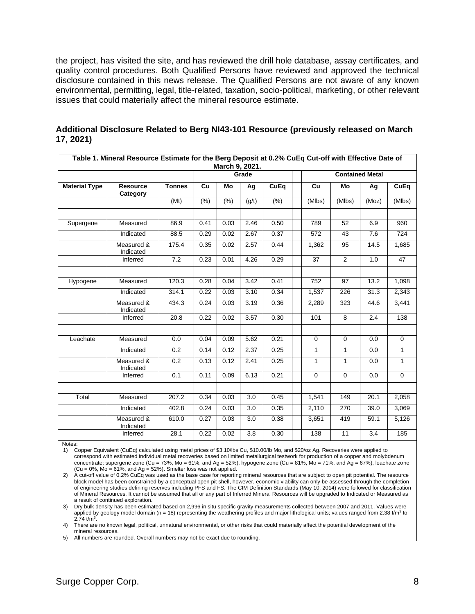the project, has visited the site, and has reviewed the drill hole database, assay certificates, and quality control procedures. Both Qualified Persons have reviewed and approved the technical disclosure contained in this news release. The Qualified Persons are not aware of any known environmental, permitting, legal, title-related, taxation, socio-political, marketing, or other relevant issues that could materially affect the mineral resource estimate.

| Table 1. Mineral Resource Estimate for the Berg Deposit at 0.2% CuEq Cut-off with Effective Date of |                             |               |       |        |       |             |  |                        |                |       |                |  |  |
|-----------------------------------------------------------------------------------------------------|-----------------------------|---------------|-------|--------|-------|-------------|--|------------------------|----------------|-------|----------------|--|--|
| March 9, 2021.                                                                                      |                             |               |       |        |       |             |  |                        |                |       |                |  |  |
|                                                                                                     |                             |               | Grade |        |       |             |  | <b>Contained Metal</b> |                |       |                |  |  |
| <b>Material Type</b>                                                                                | <b>Resource</b><br>Category | <b>Tonnes</b> | Cu    | Mo     | Ag    | <b>CuEq</b> |  | Cu                     | Mo             | Ag    | CuEq           |  |  |
|                                                                                                     |                             | (Mt)          | (% )  | $(\%)$ | (g/t) | (% )        |  | (MIbs)                 | (MIbs)         | (Moz) | (Mlbs)         |  |  |
| Supergene                                                                                           | Measured                    | 86.9          | 0.41  | 0.03   | 2.46  | 0.50        |  | 789                    | 52             | 6.9   | 960            |  |  |
|                                                                                                     | Indicated                   | 88.5          | 0.29  | 0.02   | 2.67  | 0.37        |  | 572                    | 43             | 7.6   | 724            |  |  |
|                                                                                                     | Measured &<br>Indicated     | 175.4         | 0.35  | 0.02   | 2.57  | 0.44        |  | 1,362                  | 95             | 14.5  | 1,685          |  |  |
|                                                                                                     | Inferred                    | 7.2           | 0.23  | 0.01   | 4.26  | 0.29        |  | 37                     | $\overline{2}$ | 1.0   | 47             |  |  |
|                                                                                                     |                             |               |       |        |       |             |  |                        |                |       |                |  |  |
| Hypogene                                                                                            | Measured                    | 120.3         | 0.28  | 0.04   | 3.42  | 0.41        |  | 752                    | 97             | 13.2  | 1,098          |  |  |
|                                                                                                     | Indicated                   | 314.1         | 0.22  | 0.03   | 3.10  | 0.34        |  | 1,537                  | 226            | 31.3  | 2,343          |  |  |
|                                                                                                     | Measured &<br>Indicated     | 434.3         | 0.24  | 0.03   | 3.19  | 0.36        |  | 2,289                  | 323            | 44.6  | 3,441          |  |  |
|                                                                                                     | Inferred                    | 20.8          | 0.22  | 0.02   | 3.57  | 0.30        |  | 101                    | 8              | 2.4   | 138            |  |  |
|                                                                                                     |                             |               |       |        |       |             |  |                        |                |       |                |  |  |
| Leachate                                                                                            | Measured                    | 0.0           | 0.04  | 0.09   | 5.62  | 0.21        |  | $\mathbf 0$            | $\mathbf 0$    | 0.0   | $\mathbf 0$    |  |  |
|                                                                                                     | Indicated                   | 0.2           | 0.14  | 0.12   | 2.37  | 0.25        |  | 1                      | 1              | 0.0   | 1              |  |  |
|                                                                                                     | Measured &<br>Indicated     | 0.2           | 0.13  | 0.12   | 2.41  | 0.25        |  | $\mathbf{1}$           | $\mathbf{1}$   | 0.0   | $\mathbf{1}$   |  |  |
|                                                                                                     | Inferred                    | 0.1           | 0.11  | 0.09   | 6.13  | 0.21        |  | $\mathbf 0$            | $\overline{0}$ | 0.0   | $\overline{0}$ |  |  |
|                                                                                                     |                             |               |       |        |       |             |  |                        |                |       |                |  |  |
| Total                                                                                               | Measured                    | 207.2         | 0.34  | 0.03   | 3.0   | 0.45        |  | 1,541                  | 149            | 20.1  | 2,058          |  |  |
|                                                                                                     | Indicated                   | 402.8         | 0.24  | 0.03   | 3.0   | 0.35        |  | 2,110                  | 270            | 39.0  | 3,069          |  |  |
|                                                                                                     | Measured &<br>Indicated     | 610.0         | 0.27  | 0.03   | 3.0   | 0.38        |  | 3,651                  | 419            | 59.1  | 5,126          |  |  |
|                                                                                                     | Inferred                    | 28.1          | 0.22  | 0.02   | 3.8   | 0.30        |  | 138                    | 11             | 3.4   | 185            |  |  |

#### **Additional Disclosure Related to Berg NI43-101 Resource (previously released on March 17, 2021)**

Notes:

1) Copper Equivalent (CuEq) calculated using metal prices of \$3.10/lbs Cu, \$10.00/lb Mo, and \$20/oz Ag. Recoveries were applied to correspond with estimated individual metal recoveries based on limited metallurgical testwork for production of a copper and molybdenum concentrate: supergene zone (Cu = 73%, Mo = 61%, and Ag = 52%), hypogene zone (Cu = 81%, Mo = 71%, and Ag = 67%), leachate zone  $(Cu = 0\%$ , Mo = 61%, and Ag = 52%). Smelter loss was not applied.

2) A cut-off value of 0.2% CuEq was used as the base case for reporting mineral resources that are subject to open pit potential. The resource block model has been constrained by a conceptual open pit shell, however, economic viability can only be assessed through the completion of engineering studies defining reserves including PFS and FS. The CIM Definition Standards (May 10, 2014) were followed for classification of Mineral Resources. It cannot be assumed that all or any part of Inferred Mineral Resources will be upgraded to Indicated or Measured as a result of continued exploration.

3) Dry bulk density has been estimated based on 2,996 in situ specific gravity measurements collected between 2007 and 2011. Values were applied by geology model domain (n = 18) representing the weathering profiles and major lithological units; values ranged from 2.38 t/m<sup>3</sup> to  $2.74 \text{ t/m}^3$ .

4) There are no known legal, political, unnatural environmental, or other risks that could materially affect the potential development of the mineral resources.

All numbers are rounded. Overall numbers may not be exact due to rounding.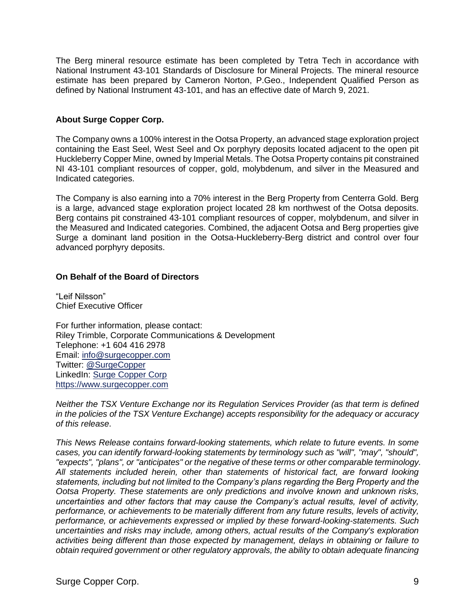The Berg mineral resource estimate has been completed by Tetra Tech in accordance with National Instrument 43-101 Standards of Disclosure for Mineral Projects. The mineral resource estimate has been prepared by Cameron Norton, P.Geo., Independent Qualified Person as defined by National Instrument 43-101, and has an effective date of March 9, 2021.

# **About Surge Copper Corp.**

The Company owns a 100% interest in the Ootsa Property, an advanced stage exploration project containing the East Seel, West Seel and Ox porphyry deposits located adjacent to the open pit Huckleberry Copper Mine, owned by Imperial Metals. The Ootsa Property contains pit constrained NI 43-101 compliant resources of copper, gold, molybdenum, and silver in the Measured and Indicated categories.

The Company is also earning into a 70% interest in the Berg Property from Centerra Gold. Berg is a large, advanced stage exploration project located 28 km northwest of the Ootsa deposits. Berg contains pit constrained 43-101 compliant resources of copper, molybdenum, and silver in the Measured and Indicated categories. Combined, the adjacent Ootsa and Berg properties give Surge a dominant land position in the Ootsa-Huckleberry-Berg district and control over four advanced porphyry deposits.

# **On Behalf of the Board of Directors**

"Leif Nilsson" Chief Executive Officer

For further information, please contact: Riley Trimble, Corporate Communications & Development Telephone: +1 604 416 2978 Email: [info@surgecopper.com](mailto:info@surgecopper.com) Twitter: [@SurgeCopper](http://www.twitter.com/SurgeCopper) LinkedIn: [Surge Copper Corp](https://www.linkedin.com/company/surge-copper-corp/) [https://www.surgecopper.com](https://www.surgecopper.com/)

*Neither the TSX Venture Exchange nor its Regulation Services Provider (as that term is defined in the policies of the TSX Venture Exchange) accepts responsibility for the adequacy or accuracy of this release*.

*This News Release contains forward-looking statements, which relate to future events. In some cases, you can identify forward-looking statements by terminology such as "will", "may", "should", "expects", "plans", or "anticipates" or the negative of these terms or other comparable terminology. All statements included herein, other than statements of historical fact, are forward looking statements, including but not limited to the Company's plans regarding the Berg Property and the Ootsa Property. These statements are only predictions and involve known and unknown risks, uncertainties and other factors that may cause the Company's actual results, level of activity, performance, or achievements to be materially different from any future results, levels of activity, performance, or achievements expressed or implied by these forward-looking-statements. Such uncertainties and risks may include, among others, actual results of the Company's exploration activities being different than those expected by management, delays in obtaining or failure to obtain required government or other regulatory approvals, the ability to obtain adequate financing*